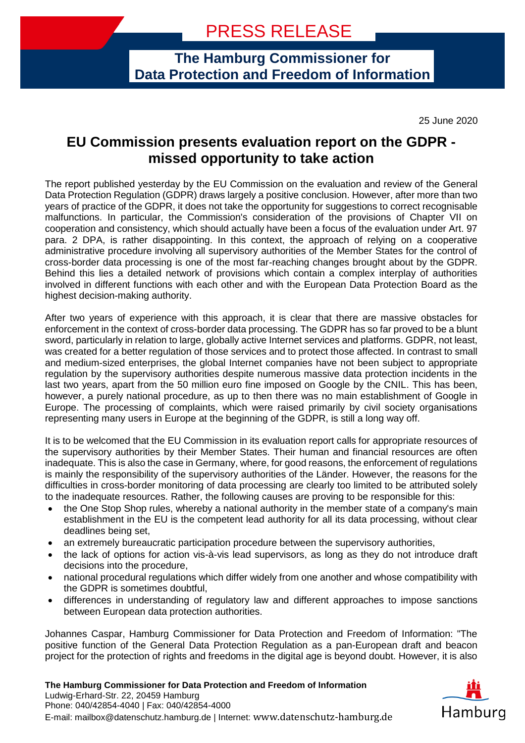**The Hamburg Commissioner for Data Protection and Freedom of Information**

25 June 2020

## **EU Commission presents evaluation report on the GDPR missed opportunity to take action**

The report published yesterday by the EU Commission on the evaluation and review of the General Data Protection Regulation (GDPR) draws largely a positive conclusion. However, after more than two years of practice of the GDPR, it does not take the opportunity for suggestions to correct recognisable malfunctions. In particular, the Commission's consideration of the provisions of Chapter VII on cooperation and consistency, which should actually have been a focus of the evaluation under Art. 97 para. 2 DPA, is rather disappointing. In this context, the approach of relying on a cooperative administrative procedure involving all supervisory authorities of the Member States for the control of cross-border data processing is one of the most far-reaching changes brought about by the GDPR. Behind this lies a detailed network of provisions which contain a complex interplay of authorities involved in different functions with each other and with the European Data Protection Board as the highest decision-making authority.

After two years of experience with this approach, it is clear that there are massive obstacles for enforcement in the context of cross-border data processing. The GDPR has so far proved to be a blunt sword, particularly in relation to large, globally active Internet services and platforms. GDPR, not least, was created for a better regulation of those services and to protect those affected. In contrast to small and medium-sized enterprises, the global Internet companies have not been subject to appropriate regulation by the supervisory authorities despite numerous massive data protection incidents in the last two years, apart from the 50 million euro fine imposed on Google by the CNIL. This has been, however, a purely national procedure, as up to then there was no main establishment of Google in Europe. The processing of complaints, which were raised primarily by civil society organisations representing many users in Europe at the beginning of the GDPR, is still a long way off.

It is to be welcomed that the EU Commission in its evaluation report calls for appropriate resources of the supervisory authorities by their Member States. Their human and financial resources are often inadequate. This is also the case in Germany, where, for good reasons, the enforcement of regulations is mainly the responsibility of the supervisory authorities of the Länder. However, the reasons for the difficulties in cross-border monitoring of data processing are clearly too limited to be attributed solely to the inadequate resources. Rather, the following causes are proving to be responsible for this:

- the One Stop Shop rules, whereby a national authority in the member state of a company's main establishment in the EU is the competent lead authority for all its data processing, without clear deadlines being set,
- an extremely bureaucratic participation procedure between the supervisory authorities,
- the lack of options for action vis-à-vis lead supervisors, as long as they do not introduce draft decisions into the procedure,
- national procedural regulations which differ widely from one another and whose compatibility with the GDPR is sometimes doubtful,
- differences in understanding of regulatory law and different approaches to impose sanctions between European data protection authorities.

Johannes Caspar, Hamburg Commissioner for Data Protection and Freedom of Information: "The positive function of the General Data Protection Regulation as a pan-European draft and beacon project for the protection of rights and freedoms in the digital age is beyond doubt. However, it is also

**The Hamburg Commissioner for Data Protection and Freedom of Information** Ludwig-Erhard-Str. 22, 20459 Hamburg Phone: 040/42854-4040 | Fax: 040/42854-4000 E-mail: mailbox@datenschutz.hamburg.de | Internet: www.datenschutz-hamburg.de